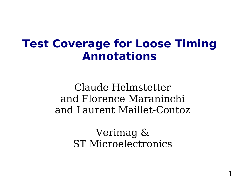### **Test Coverage for Loose Timing Annotations**

Claude Helmstetter and Florence Maraninchi and Laurent Maillet-Contoz

> Verimag & ST Microelectronics

> > 1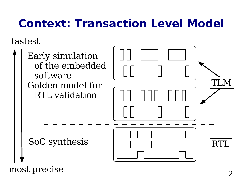# **Context: Transaction Level Model**

fastest

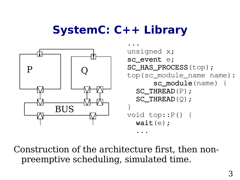## **SystemC: C++ Library**



Construction of the architecture first, then nonpreemptive scheduling, simulated time.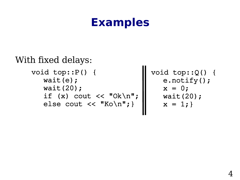### **Examples**

```
void top::P() {
          wait(e);
      wait(20);
  if (x) cout \lt\lt "Ok\n";
  else cout << "Ko\n"; }
With fixed delays:
```
void top::Q() { e.notify();  $x = 0;$  wait(20);  $x = 1;$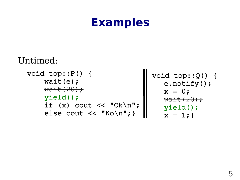### **Examples**

```
void top::P() {
             wait(e);
         \text{wait}(20) ;
             yield();
         if (x) cout \langle \cdot \cdot \cdot \cdot \cdot \cdot \rangle    else cout << "Ko\n";}
                                               void top::Q() {
                                                       e.notify();
                                                   x = 0;\text{wait}(20) ;
                                                      yield();
                                                  x = 1;Untimed:
```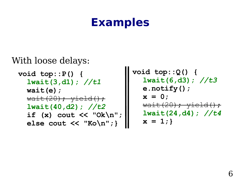### **Examples**

```
With loose delays:
```

```
void top::P() {
  lwait(3,d1); //t1
  wait(e);
  \text{wait}(20); \text{yield}();
  lwait(40,d2); //t2
  if (x) cout << "Ok\n";
  else cout << "Ko\n";}
```

```
void top::Q() {
   lwait(6,d3); //t3
  e.notify();
  x = 0;
  \text{wait}(20); \text{yield}();
  lwait(24,d4); //t4
  x = 1;
```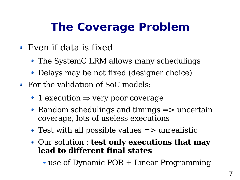# **The Coverage Problem**

- Even if data is fixed
	- The SystemC LRM allows many schedulings
	- Delays may be not fixed (designer choice)
- For the validation of SoC models:
	- $\rightarrow$  1 execution  $\Rightarrow$  very poor coverage
	- $\triangle$  Random schedulings and timings  $\Rightarrow$  uncertain coverage, lots of useless executions
	- $\rightarrow$  Test with all possible values  $\Rightarrow$  unrealistic
	- Our solution : **test only executions that may lead to different final states**

use of Dynamic POR + Linear Programming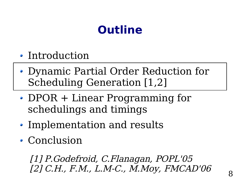# **Outline**

- Introduction
- Dynamic Partial Order Reduction for Scheduling Generation [1,2]
- DPOR + Linear Programming for schedulings and timings
- Implementation and results
- Conclusion

[1] P.Godefroid, C.Flanagan, POPL'05 [2] C.H., F.M., L.M-C., M.Moy, FMCAD'06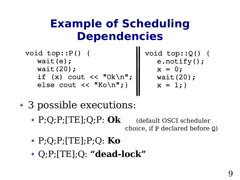## **Example of Scheduling Dependencies**

```
void top::P() {
        wait(e);
        wait(20);
if (x) cout \lt\lt "Ok\n";
else cout << "Ko\n"; }
```
void top::Q() { e.notify();  $x = 0;$  wait(20);  $x = 1;$ 

- 3 possible executions:
	- P;Q;P;[TE];Q;P: **Ok** (default OSCI scheduler choice, if P declared before Q)
	- P;Q;P;[TE];P;Q: **Ko**
	- Q;P;[TE];Q: **"dead-lock"**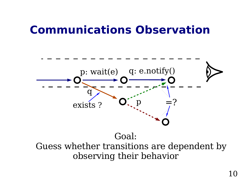### **Communications Observation**



Goal: Guess whether transitions are dependent by observing their behavior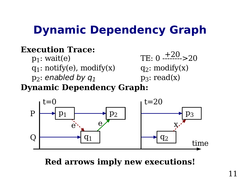# **Dynamic Dependency Graph**

#### **Execution Trace:**

 $p_1$ : wait $(e)$ q<sub>1</sub>: notify(e), modify(x)  $p_2$ : enabled by  $q_1$ 

TE: 
$$
0 \xrightarrow{+20} 20
$$
  
q<sub>2</sub>: modify(x)  
p<sub>3</sub>: read(x)

**Dynamic Dependency Graph:**



**Red arrows imply new executions!**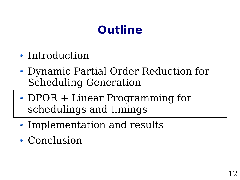# **Outline**

- Introduction
- Dynamic Partial Order Reduction for Scheduling Generation
- DPOR + Linear Programming for schedulings and timings
- Implementation and results
- Conclusion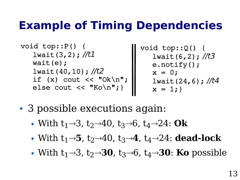## **Example of Timing Dependencies**

void top::P() { lwait(3,2); //t1 wait(e); lwait(40,10); //t2 if (x) cout << "Ok\n"; else cout << "Ko\n";}

void top::Q() { lwait  $(6, 2)$ ; //t3 e.notify();  $x = 0;$ lwait(24,6);  $//t4$  $x = 1;$ 

- 3 possible executions again:
	- With  $t_1\rightarrow 3$ ,  $t_2\rightarrow 40$ ,  $t_3\rightarrow 6$ ,  $t_4\rightarrow 24$ : Ok
	- With  $t_1 \rightarrow 5$ ,  $t_2 \rightarrow 40$ ,  $t_3 \rightarrow 4$ ,  $t_4 \rightarrow 24$ : **dead-lock**
	- With  $t_1\rightarrow 3$ ,  $t_2\rightarrow 30$ ,  $t_3\rightarrow 6$ ,  $t_4\rightarrow 30$ : **Ko** possible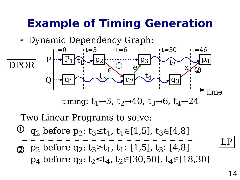## **Example of Timing Generation**

• Dynamic Dependency Graph:



Two Linear Programs to solve:

- q<sub>2</sub> before p<sub>2</sub>:  $t_3 \le t_1$ ,  $t_1 \in [1,5]$ ,  $t_3 \in [4,8]$  $\bigcirc$
- **②**  $p_2$  before  $q_2$ :  $t_3 \ge t_1$ ,  $t_1 \in [1, 5]$ ,  $t_3 \in [4, 8]$ p<sub>4</sub> before q<sub>3</sub>:  $t_2 \le t_4$ ,  $t_2 \in [30,50]$ ,  $t_4 \in [18,30]$

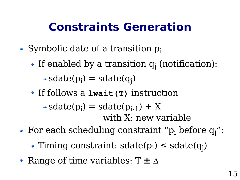## **Constraints Generation**

- Symbolic date of a transition  $p_i$ 
	- If enabled by a transition  $q_j$  (notification):  $\text{sdate}(p_i) = \text{sdate}(q_j)$
	- If follows a **lwait(T)** instruction

#### $\text{sdate}(p_i) = \text{sdate}(p_{i-1}) + X$ with X: new variable

- For each scheduling constraint " $p_i$  before  $q_j$ ":
	- Timing constraint:  $\text{sdate}(p_i) \leq \text{sdate}(q_j)$
- Range of time variables:  $T \pm \Delta$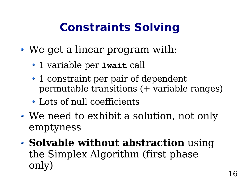# **Constraints Solving**

- We get a linear program with:
	- 1 variable per **lwait** call
	- 1 constraint per pair of dependent permutable transitions (+ variable ranges)
	- Lots of null coefficients
- We need to exhibit a solution, not only emptyness
- **Solvable without abstraction** using the Simplex Algorithm (first phase only)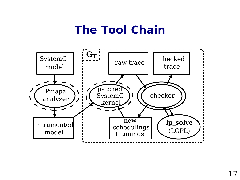## **The Tool Chain**

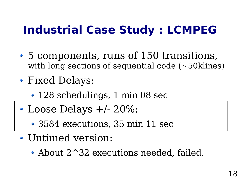# **Industrial Case Study : LCMPEG**

- 5 components, runs of 150 transitions, with long sections of sequential code (~50klines)
- Fixed Delays:
	- 128 schedulings, 1 min 08 sec
- Loose Delays +/- 20%:
	- 3584 executions, 35 min 11 sec
- Untimed version:
	- About 2^32 executions needed, failed.